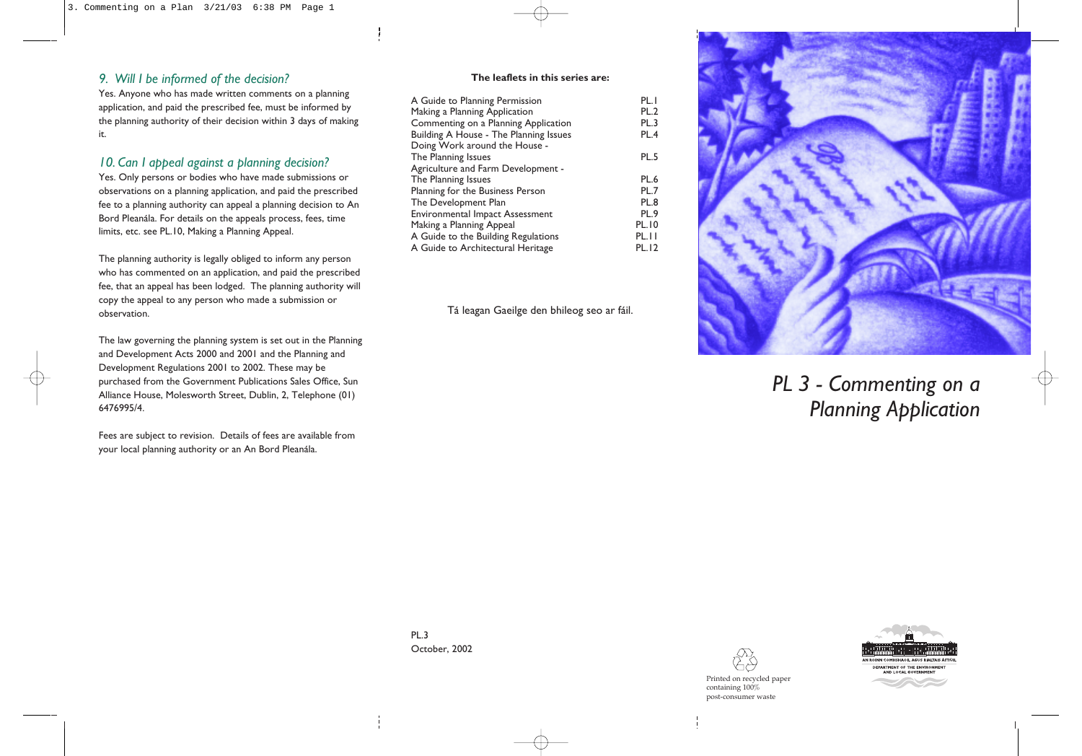# *9. Will I be informed of the decision?*

Yes. Anyone who has made written comments on a planning application, and paid the prescribed fee, must be informed by the planning authority of their decision within 3 days of making it.

# *10. Can I appeal against a planning decision?*

Yes. Only persons or bodies who have made submissions or observations on a planning application, and paid the prescribed fee to a planning authority can appeal a planning decision to An Bord Pleanála. For details on the appeals process, fees, time limits, etc. see PL.10, Making a Planning Appeal.

The planning authority is legally obliged to inform any person who has commented on an application, and paid the prescribed fee, that an appeal has been lodged. The planning authority will copy the appeal to any person who made a submission or observation.

The law governing the planning system is set out in the Planning and Development Acts 2000 and 2001 and the Planning and Development Regulations 2001 to 2002. These may be purchased from the Government Publications Sales Office, Sun Alliance House, Molesworth Street, Dublin, 2, Telephone (01) 6476995/4.

Fees are subject to revision. Details of fees are available from your local planning authority or an An Bord Pleanála.

| A Guide to Planning Permission         | PL.I         |
|----------------------------------------|--------------|
| Making a Planning Application          | PL.2         |
| Commenting on a Planning Application   | <b>PL.3</b>  |
| Building A House - The Planning Issues | PL.4         |
| Doing Work around the House -          |              |
| The Planning Issues                    | PL.5         |
| Agriculture and Farm Development -     |              |
| The Planning Issues                    | PL.6         |
| Planning for the Business Person       | PL.7         |
| The Development Plan                   | PL.8         |
| Environmental Impact Assessment        | PL.9         |
| Making a Planning Appeal               | <b>PL.10</b> |
| A Guide to the Building Regulations    | PL.II        |
| A Guide to Architectural Heritage      | <b>PL.12</b> |
|                                        |              |

Tá leagan Gaeilge den bhileog seo ar fáil.



# *PL 3 - Commenting on a Planning Application*

PL.3 October, 2002